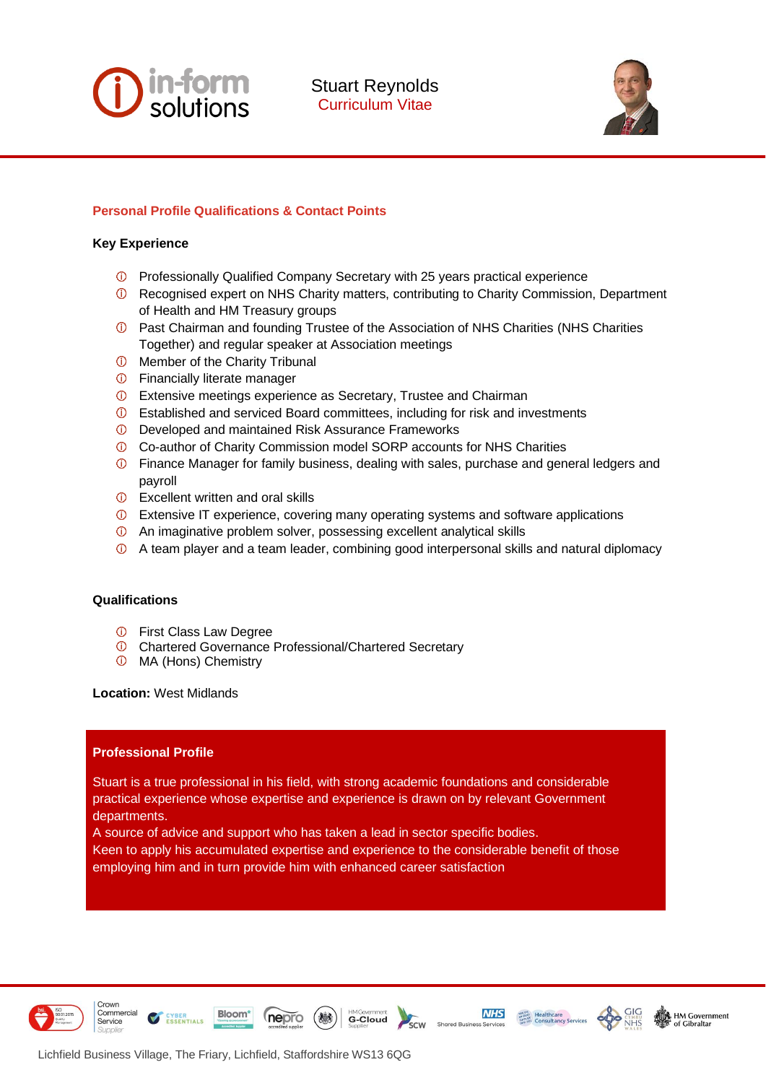

Stuart Reynolds Curriculum Vitae



# **Personal Profile Qualifications & Contact Points**

### **Key Experience**

- Professionally Qualified Company Secretary with 25 years practical experience
- Recognised expert on NHS Charity matters, contributing to Charity Commission, Department of Health and HM Treasury groups
- Past Chairman and founding Trustee of the Association of NHS Charities (NHS Charities Together) and regular speaker at Association meetings
- *O* Member of the Charity Tribunal
- Financially literate manager
- Extensive meetings experience as Secretary, Trustee and Chairman
- Established and serviced Board committees, including for risk and investments
- Developed and maintained Risk Assurance Frameworks
- Co-author of Charity Commission model SORP accounts for NHS Charities
- Finance Manager for family business, dealing with sales, purchase and general ledgers and payroll
- *O* Excellent written and oral skills
- Extensive IT experience, covering many operating systems and software applications
- An imaginative problem solver, possessing excellent analytical skills
- A team player and a team leader, combining good interpersonal skills and natural diplomacy

## **Qualifications**

- First Class Law Degree
- Chartered Governance Professional/Chartered Secretary
- MA (Hons) Chemistry

#### **Location:** West Midlands

## **Professional Profile**

Stuart is a true professional in his field, with strong academic foundations and considerable practical experience whose expertise and experience is drawn on by relevant Government departments.

A source of advice and support who has taken a lead in sector specific bodies.

Keen to apply his accumulated expertise and experience to the considerable benefit of those employing him and in turn provide him with enhanced career satisfaction

**HMGovernment**<br>**G-Cloud** 



Crown Commercial

Service



**NHS** 



Lichfield Business Village, The Friary, Lichfield, Staffordshire WS13 6QG

ESSENTIALS

**Bloom** 

nepro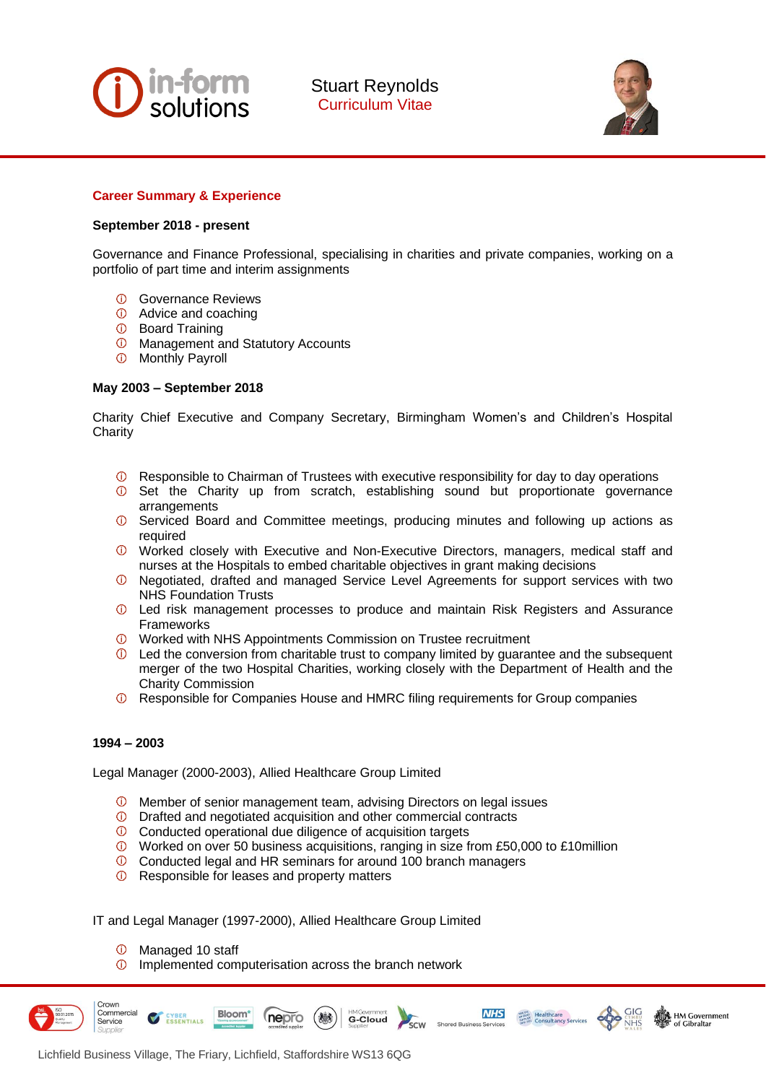

Stuart Reynolds Curriculum Vitae



## **Career Summary & Experience**

### **September 2018 - present**

Governance and Finance Professional, specialising in charities and private companies, working on a portfolio of part time and interim assignments

- Governance Reviews
- Advice and coaching
- Board Training
- *O* Management and Statutory Accounts
- Monthly Payroll

### **May 2003 – September 2018**

Charity Chief Executive and Company Secretary, Birmingham Women's and Children's Hospital **Charity** 

- Responsible to Chairman of Trustees with executive responsibility for day to day operations
- **1** Set the Charity up from scratch, establishing sound but proportionate governance arrangements
- **1** Serviced Board and Committee meetings, producing minutes and following up actions as required
- Worked closely with Executive and Non-Executive Directors, managers, medical staff and nurses at the Hospitals to embed charitable objectives in grant making decisions
- Negotiated, drafted and managed Service Level Agreements for support services with two NHS Foundation Trusts
- Led risk management processes to produce and maintain Risk Registers and Assurance Frameworks
- **1** Worked with NHS Appointments Commission on Trustee recruitment
- $\overline{0}$  Led the conversion from charitable trust to company limited by guarantee and the subsequent merger of the two Hospital Charities, working closely with the Department of Health and the Charity Commission
- Responsible for Companies House and HMRC filing requirements for Group companies

#### **1994 – 2003**

Legal Manager (2000-2003), Allied Healthcare Group Limited

- Member of senior management team, advising Directors on legal issues
- Drafted and negotiated acquisition and other commercial contracts
- Conducted operational due diligence of acquisition targets
- Worked on over 50 business acquisitions, ranging in size from £50,000 to £10million

**G-Cloud** 

**SURVEY BOOT Healthcare**<br> **SURVEY Healthcare**<br> **SURVEY CONSULTANCY Services** 

**N** HM Government

**NHS** 

- Conducted legal and HR seminars for around 100 branch managers
- $\overline{O}$  Responsible for leases and property matters

IT and Legal Manager (1997-2000), Allied Healthcare Group Limited

 $\circledcirc$ Managed 10 staff

ESSENTIALS

Implemented computerisation across the branch network

nepro



**Bloom**